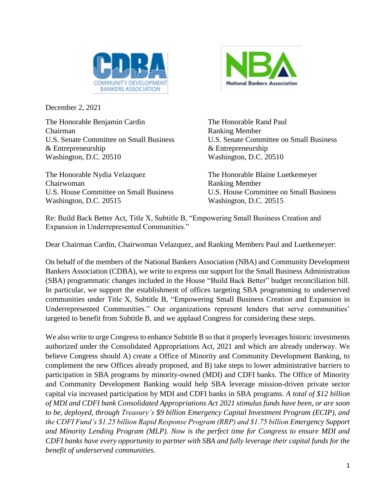

December 2, 2021

The Honorable Benjamin Cardin The Honorable Rand Paul Chairman Ranking Member U.S. Senate Committee on Small Business U.S. Senate Committee on Small Business & Entrepreneurship & Entrepreneurship Washington, D.C. 20510 Washington, D.C. 20510

The Honorable Nydia Velazquez The Honorable Blaine Luetkemeyer Chairwoman Ranking Member Washington, D.C. 20515 Washington, D.C. 20515



U.S. House Committee on Small Business U.S. House Committee on Small Business

Re: Build Back Better Act, Title X, Subtitle B, "Empowering Small Business Creation and Expansion in Underrepresented Communities."

Dear Chairman Cardin, Chairwoman Velazquez, and Ranking Members Paul and Luetkemeyer:

On behalf of the members of the National Bankers Association (NBA) and Community Development Bankers Association (CDBA), we write to express our support for the Small Business Administration (SBA) programmatic changes included in the House "Build Back Better" budget reconciliation bill. In particular, we support the establishment of offices targeting SBA programming to underserved communities under Title X, Subtitle B, "Empowering Small Business Creation and Expansion in Underrepresented Communities." Our organizations represent lenders that serve communities' targeted to benefit from Subtitle B, and we applaud Congress for considering these steps.

We also write to urge Congress to enhance Subtitle B so that it properly leverages historic investments authorized under the Consolidated Appropriations Act, 2021 and which are already underway. We believe Congress should A) create a Office of Minority and Community Development Banking, to complement the new Offices already proposed, and B) take steps to lower administrative barriers to participation in SBA programs by minority-owned (MDI) and CDFI banks. The Office of Minority and Community Development Banking would help SBA leverage mission-driven private sector capital via increased participation by MDI and CDFI banks in SBA programs. *A total of \$12 billion of MDI and CDFI bank Consolidated Appropriations Act 2021 stimulus funds have been, or are soon to be, deployed, through Treasury's \$9 billion Emergency Capital Investment Program (ECIP), and the CDFI Fund's \$1.25 billion Rapid Response Program (RRP) and \$1.75 billion Emergency Support and Minority Lending Program (MLP). Now is the perfect time for Congress to ensure MDI and CDFI banks have every opportunity to partner with SBA and fully leverage their capital funds for the benefit of underserved communities.*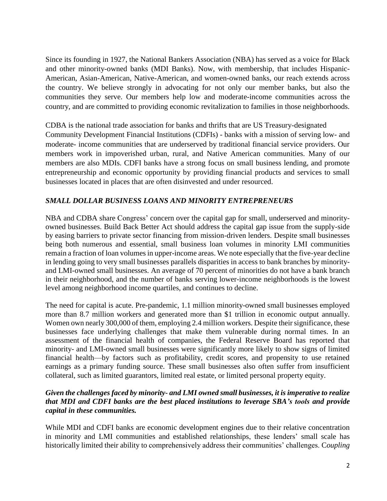Since its founding in 1927, the National Bankers Association (NBA) has served as a voice for Black and other minority-owned banks (MDI Banks). Now, with membership, that includes Hispanic-American, Asian-American, Native-American, and women-owned banks, our reach extends across the country. We believe strongly in advocating for not only our member banks, but also the communities they serve. Our members help low and moderate-income communities across the country, and are committed to providing economic revitalization to families in those neighborhoods.

CDBA is the national trade association for banks and thrifts that are US Treasury-designated Community Development Financial Institutions (CDFIs) - banks with a mission of serving low- and moderate- income communities that are underserved by traditional financial service providers. Our members work in impoverished urban, rural, and Native American communities. Many of our members are also MDIs. CDFI banks have a strong focus on small business lending, and promote entrepreneurship and economic opportunity by providing financial products and services to small businesses located in places that are often disinvested and under resourced.

## *SMALL DOLLAR BUSINESS LOANS AND MINORITY ENTREPRENEURS*

NBA and CDBA share Congress' concern over the capital gap for small, underserved and minorityowned businesses. Build Back Better Act should address the capital gap issue from the supply-side by easing barriers to private sector financing from mission-driven lenders. Despite small businesses being both numerous and essential, small business loan volumes in minority LMI communities remain a fraction of loan volumes in upper-income areas. We note especially that the five-year decline in lending going to very small businesses parallels disparities in access to bank branches by minorityand LMI-owned small businesses. An average of 70 percent of minorities do not have a bank branch in their neighborhood, and the number of banks serving lower-income neighborhoods is the lowest level among neighborhood income quartiles, and continues to decline.

The need for capital is acute. Pre-pandemic, 1.1 million minority-owned small businesses employed more than 8.7 million workers and generated more than \$1 trillion in economic output annually. Women own nearly 300,000 of them, employing 2.4 million workers. Despite their significance, these businesses face underlying challenges that make them vulnerable during normal times. In an assessment of the financial health of companies, the Federal Reserve Board has reported that minority- and LMI-owned small businesses were significantly more likely to show signs of limited financial health—by factors such as profitability, credit scores, and propensity to use retained earnings as a primary funding source. These small businesses also often suffer from insufficient collateral, such as limited guarantors, limited real estate, or limited personal property equity.

## *Given the challenges faced by minority- and LMI owned small businesses, it is imperative to realize that MDI and CDFI banks are the best placed institutions to leverage SBA's tools and provide capital in these communities.*

While MDI and CDFI banks are economic development engines due to their relative concentration in minority and LMI communities and established relationships, these lenders' small scale has historically limited their ability to comprehensively address their communities' challenges. C*oupling*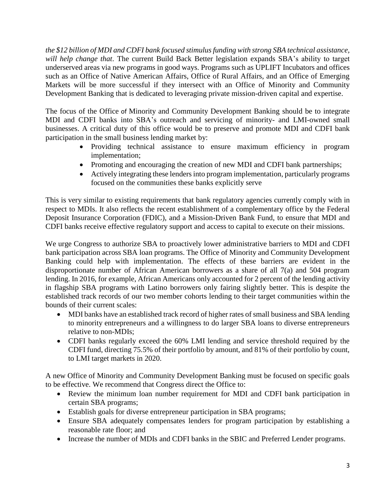*the \$12 billion of MDI and CDFI bank focused stimulusfunding with strong SBA technical assistance, will help change that*. The current Build Back Better legislation expands SBA's ability to target underserved areas via new programs in good ways. Programs such as UPLIFT Incubators and offices such as an Office of Native American Affairs, Office of Rural Affairs, and an Office of Emerging Markets will be more successful if they intersect with an Office of Minority and Community Development Banking that is dedicated to leveraging private mission-driven capital and expertise.

The focus of the Office of Minority and Community Development Banking should be to integrate MDI and CDFI banks into SBA's outreach and servicing of minority- and LMI-owned small businesses. A critical duty of this office would be to preserve and promote MDI and CDFI bank participation in the small business lending market by:

- Providing technical assistance to ensure maximum efficiency in program implementation;
- Promoting and encouraging the creation of new MDI and CDFI bank partnerships;
- Actively integrating these lenders into program implementation, particularly programs focused on the communities these banks explicitly serve

This is very similar to existing requirements that bank regulatory agencies currently comply with in respect to MDIs. It also reflects the recent establishment of a complementary office by the Federal Deposit Insurance Corporation (FDIC), and a Mission-Driven Bank Fund, to ensure that MDI and CDFI banks receive effective regulatory support and access to capital to execute on their missions.

We urge Congress to authorize SBA to proactively lower administrative barriers to MDI and CDFI bank participation across SBA loan programs. The Office of Minority and Community Development Banking could help with implementation. The effects of these barriers are evident in the disproportionate number of African American borrowers as a share of all 7(a) and 504 program lending. In 2016, for example, African Americans only accounted for 2 percent of the lending activity in flagship SBA programs with Latino borrowers only fairing slightly better. This is despite the established track records of our two member cohorts lending to their target communities within the bounds of their current scales:

- MDI banks have an established track record of higher rates of small business and SBA lending to minority entrepreneurs and a willingness to do larger SBA loans to diverse entrepreneurs relative to non-MDIs;
- CDFI banks regularly exceed the 60% LMI lending and service threshold required by the CDFI fund, directing 75.5% of their portfolio by amount, and 81% of their portfolio by count, to LMI target markets in 2020.

A new Office of Minority and Community Development Banking must be focused on specific goals to be effective. We recommend that Congress direct the Office to:

- Review the minimum loan number requirement for MDI and CDFI bank participation in certain SBA programs;
- Establish goals for diverse entrepreneur participation in SBA programs;
- Ensure SBA adequately compensates lenders for program participation by establishing a reasonable rate floor; and
- Increase the number of MDIs and CDFI banks in the SBIC and Preferred Lender programs.